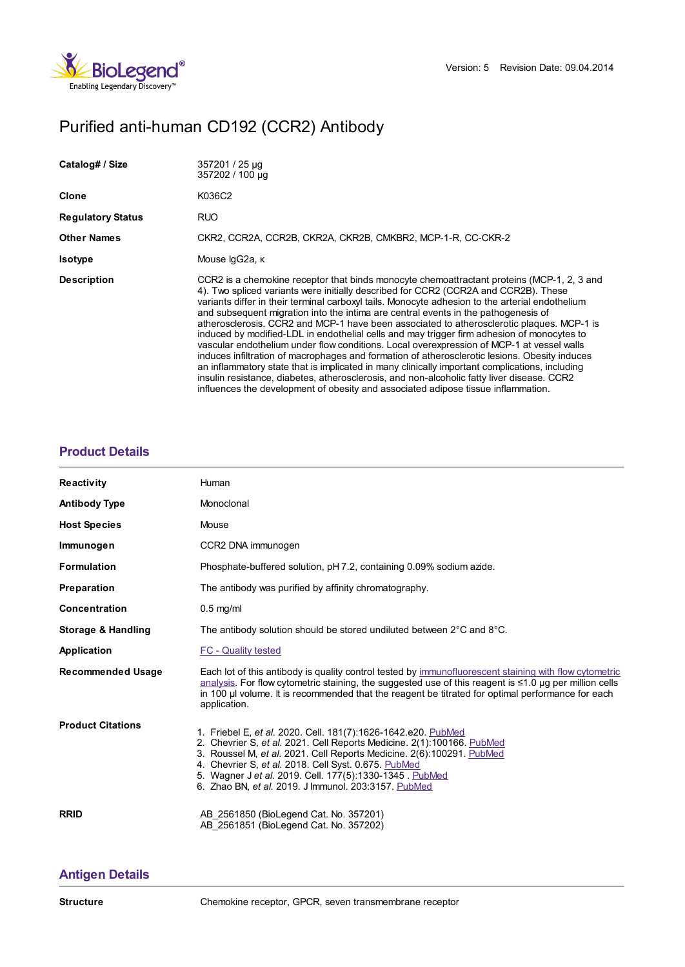

# Purified anti-human CD192 (CCR2) Antibody

| Catalog# / Size          | 357201 / 25 µg<br>357202 / 100 µg                                                                                                                                                                                                                                                                                                                                                                                                                                                                                                                                                                                                                                                                                                                                                                                                                                                                                                                                                                                                                        |
|--------------------------|----------------------------------------------------------------------------------------------------------------------------------------------------------------------------------------------------------------------------------------------------------------------------------------------------------------------------------------------------------------------------------------------------------------------------------------------------------------------------------------------------------------------------------------------------------------------------------------------------------------------------------------------------------------------------------------------------------------------------------------------------------------------------------------------------------------------------------------------------------------------------------------------------------------------------------------------------------------------------------------------------------------------------------------------------------|
| Clone                    | K036C2                                                                                                                                                                                                                                                                                                                                                                                                                                                                                                                                                                                                                                                                                                                                                                                                                                                                                                                                                                                                                                                   |
| <b>Regulatory Status</b> | <b>RUO</b>                                                                                                                                                                                                                                                                                                                                                                                                                                                                                                                                                                                                                                                                                                                                                                                                                                                                                                                                                                                                                                               |
| <b>Other Names</b>       | CKR2, CCR2A, CCR2B, CKR2A, CKR2B, CMKBR2, MCP-1-R, CC-CKR-2                                                                                                                                                                                                                                                                                                                                                                                                                                                                                                                                                                                                                                                                                                                                                                                                                                                                                                                                                                                              |
| <b>Isotype</b>           | Mouse lgG2a, к                                                                                                                                                                                                                                                                                                                                                                                                                                                                                                                                                                                                                                                                                                                                                                                                                                                                                                                                                                                                                                           |
| <b>Description</b>       | CCR2 is a chemokine receptor that binds monocyte chemoattractant proteins (MCP-1, 2, 3 and<br>4). Two spliced variants were initially described for CCR2 (CCR2A and CCR2B). These<br>variants differ in their terminal carboxyl tails. Monocyte adhesion to the arterial endothelium<br>and subsequent migration into the intima are central events in the pathogenesis of<br>atherosclerosis. CCR2 and MCP-1 have been associated to atherosclerotic plaques. MCP-1 is<br>induced by modified-LDL in endothelial cells and may trigger firm adhesion of monocytes to<br>vascular endothelium under flow conditions. Local overexpression of MCP-1 at vessel walls<br>induces infiltration of macrophages and formation of atherosclerotic lesions. Obesity induces<br>an inflammatory state that is implicated in many clinically important complications, including<br>insulin resistance, diabetes, atherosclerosis, and non-alcoholic fatty liver disease. CCR2<br>influences the development of obesity and associated adipose tissue inflammation. |

## **[Product](https://www.biolegend.com/de-de/products/purified-anti-human-cd192-ccr2-antibody-8383?pdf=true&displayInline=true&leftRightMargin=15&topBottomMargin=15&filename=Purified anti-human CD192 (CCR2) Antibody.pdf#productDetails) Details**

| <b>Reactivity</b>        | Human                                                                                                                                                                                                                                                                                                                                                                                       |
|--------------------------|---------------------------------------------------------------------------------------------------------------------------------------------------------------------------------------------------------------------------------------------------------------------------------------------------------------------------------------------------------------------------------------------|
| <b>Antibody Type</b>     | Monoclonal                                                                                                                                                                                                                                                                                                                                                                                  |
| <b>Host Species</b>      | Mouse                                                                                                                                                                                                                                                                                                                                                                                       |
| Immunogen                | CCR2 DNA immunogen                                                                                                                                                                                                                                                                                                                                                                          |
| <b>Formulation</b>       | Phosphate-buffered solution, pH 7.2, containing 0.09% sodium azide.                                                                                                                                                                                                                                                                                                                         |
| Preparation              | The antibody was purified by affinity chromatography.                                                                                                                                                                                                                                                                                                                                       |
| <b>Concentration</b>     | $0.5$ mg/ml                                                                                                                                                                                                                                                                                                                                                                                 |
| Storage & Handling       | The antibody solution should be stored undiluted between 2°C and 8°C.                                                                                                                                                                                                                                                                                                                       |
| Application              | <b>FC - Quality tested</b>                                                                                                                                                                                                                                                                                                                                                                  |
| <b>Recommended Usage</b> | Each lot of this antibody is quality control tested by immunofluorescent staining with flow cytometric<br>analysis. For flow cytometric staining, the suggested use of this reagent is ≤1.0 µg per million cells<br>in 100 µ volume. It is recommended that the reagent be titrated for optimal performance for each<br>application.                                                        |
| <b>Product Citations</b> | 1. Friebel E, et al. 2020. Cell. 181(7):1626-1642.e20. PubMed<br>2. Chevrier S, et al. 2021. Cell Reports Medicine. 2(1):100166. PubMed<br>3. Roussel M, et al. 2021. Cell Reports Medicine. 2(6):100291. PubMed<br>4. Chevrier S, et al. 2018. Cell Syst. 0.675. PubMed<br>5. Wagner J et al. 2019. Cell. 177(5):1330-1345. PubMed<br>6. Zhao BN, et al. 2019. J Immunol. 203:3157. PubMed |
| <b>RRID</b>              | AB 2561850 (BioLegend Cat. No. 357201)<br>AB 2561851 (BioLegend Cat. No. 357202)                                                                                                                                                                                                                                                                                                            |

### **[Antigen](https://www.biolegend.com/de-de/products/purified-anti-human-cd192-ccr2-antibody-8383?pdf=true&displayInline=true&leftRightMargin=15&topBottomMargin=15&filename=Purified anti-human CD192 (CCR2) Antibody.pdf#antigenDetails) Details**